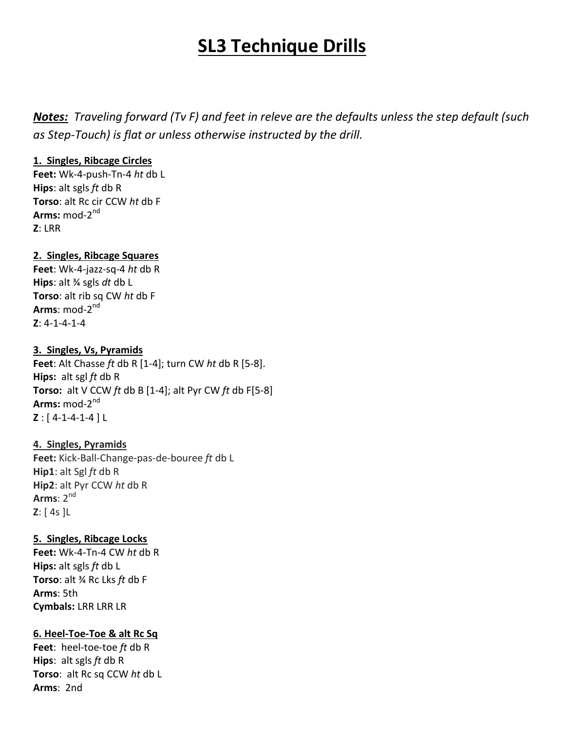# **SL3 Technique Drills**

*Notes: Traveling forward (Tv F) and feet in releve are the defaults unless the step default (such as Step-Touch) is flat or unless otherwise instructed by the drill.* 

## **1. Singles, Ribcage Circles**

**Feet:** Wk-4-push-Tn-4 *ht* db L **Hips**: alt sgls *ft* db R **Torso**: alt Rc cir CCW *ht* db F **Arms:** mod-2 nd **Z**: LRR

# **2. Singles, Ribcage Squares**

**Feet**: Wk-4-jazz-sq-4 *ht* db R **Hips**: alt ¾ sgls *dt* db L **Torso**: alt rib sq CW *ht* db F **Arms**: mod-2<sup>nd</sup> **Z**: 4-1-4-1-4

## **3. Singles, Vs, Pyramids**

**Feet**: Alt Chasse *ft* db R [1-4]; turn CW *ht* db R [5-8]. **Hips:** alt sgl *ft* db R **Torso:** alt V CCW *ft* db B [1-4]; alt Pyr CW *ft* db F[5-8] **Arms:** mod-2 nd **Z** : [ 4-1-4-1-4 ] L

## **4. Singles, Pyramids**

**Feet:** Kick-Ball-Change-pas-de-bouree *ft* db L **Hip1**: alt Sgl *ft* db R **Hip2**: alt Pyr CCW *ht* db R **Arms**: 2nd **Z**: [ 4s ]L

## **5. Singles, Ribcage Locks**

**Feet:** Wk-4-Tn-4 CW *ht* db R **Hips:** alt sgls *ft* db L **Torso**: alt ¾ Rc Lks *ft* db F **Arms**: 5th **Cymbals:** LRR LRR LR

# **6. Heel-Toe-Toe & alt Rc Sq**

**Feet**: heel-toe-toe *ft* db R **Hips**: alt sgls *ft* db R **Torso**: alt Rc sq CCW *ht* db L **Arms**: 2nd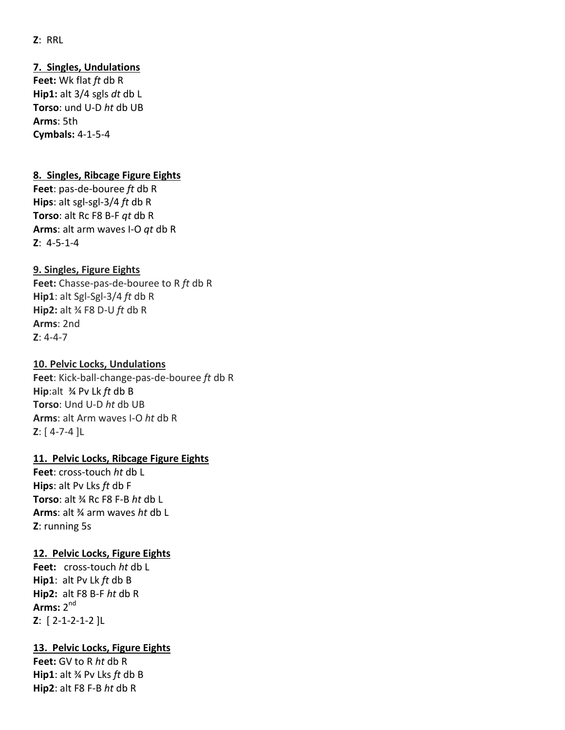## **Z**: RRL

## **7. Singles, Undulations**

**Feet:** Wk flat *ft* db R **Hip1:** alt 3/4 sgls *dt* db L **Torso**: und U-D *ht* db UB **Arms**: 5th **Cymbals:** 4-1-5-4

#### **8. Singles, Ribcage Figure Eights**

**Feet**: pas-de-bouree *ft* db R **Hips**: alt sgl-sgl-3/4 *ft* db R **Torso**: alt Rc F8 B-F *qt* db R **Arms**: alt arm waves I-O *qt* db R **Z**: 4-5-1-4

#### **9. Singles, Figure Eights**

**Feet:** Chasse-pas-de-bouree to R *ft* db R **Hip1**: alt Sgl-Sgl-3/4 *ft* db R **Hip2:** alt ¾ F8 D-U *ft* db R **Arms**: 2nd **Z**: 4-4-7

#### **10. Pelvic Locks, Undulations**

**Feet**: Kick-ball-change-pas-de-bouree *ft* db R **Hip**:alt ¾ Pv Lk *ft* db B **Torso**: Und U-D *ht* db UB **Arms**: alt Arm waves I-O *ht* db R **Z**: [ 4-7-4 ]L

## **11. Pelvic Locks, Ribcage Figure Eights**

**Feet**: cross-touch *ht* db L **Hips**: alt Pv Lks *ft* db F **Torso**: alt ¾ Rc F8 F-B *ht* db L **Arms**: alt ¾ arm waves *ht* db L **Z**: running 5s

#### **12. Pelvic Locks, Figure Eights**

**Feet:** cross-touch *ht* db L **Hip1**: alt Pv Lk *ft* db B **Hip2:** alt F8 B-F *ht* db R **Arms:** 2 nd **Z**: [ 2-1-2-1-2 ]L

#### **13. Pelvic Locks, Figure Eights**

**Feet:** GV to R *ht* db R **Hip1**: alt ¾ Pv Lks *ft* db B **Hip2**: alt F8 F-B *ht* db R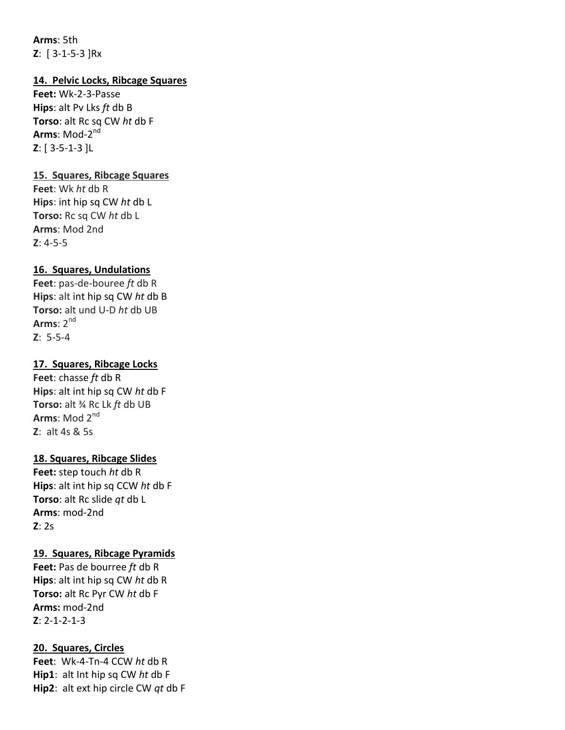**Arms**: 5th **Z**: [ 3-1-5-3 ]Rx

## **14. Pelvic Locks, Ribcage Squares**

**Feet:** Wk-2-3-Passe **Hips**: alt Pv Lks *ft* db B **Torso**: alt Rc sq CW *ht* db F **Arms**: Mod-2<sup>nd</sup> **Z**: [ 3-5-1-3 ]L

## **15. Squares, Ribcage Squares**

**Feet**: Wk *ht* db R **Hips**: int hip sq CW *ht* db L **Torso:** Rc sq CW *ht* db L **Arms**: Mod 2nd **Z**: 4-5-5

## **16. Squares, Undulations**

**Feet**: pas-de-bouree *ft* db R **Hips**: alt int hip sq CW *ht* db B **Torso:** alt und U-D *ht* db UB **Arms**: 2nd **Z**: 5-5-4

## **17. Squares, Ribcage Locks**

**Feet**: chasse *ft* db R **Hips**: alt int hip sq CW *ht* db F **Torso:** alt ¾ Rc Lk *ft* db UB **Arms**: Mod 2nd **Z**: alt 4s & 5s

## **18. Squares, Ribcage Slides**

**Feet:** step touch *ht* db R **Hips**: alt int hip sq CCW *ht* db F **Torso**: alt Rc slide *qt* db L **Arms**: mod-2nd **Z**: 2s

## **19. Squares, Ribcage Pyramids**

**Feet:** Pas de bourree *ft* db R **Hips**: alt int hip sq CW *ht* db R **Torso:** alt Rc Pyr CW *ht* db F **Arms:** mod-2nd **Z**: 2-1-2-1-3

#### **20. Squares, Circles**

**Feet**: Wk-4-Tn-4 CCW *ht* db R **Hip1**: alt Int hip sq CW *ht* db F **Hip2**: alt ext hip circle CW *qt* db F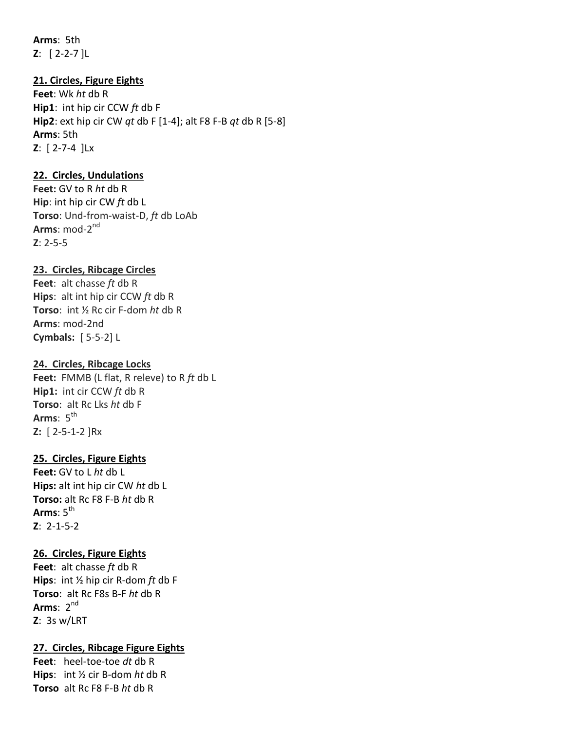**Arms**: 5th **Z**: [ 2-2-7 ]L

## **21. Circles, Figure Eights**

**Feet**: Wk *ht* db R **Hip1**: int hip cir CCW *ft* db F **Hip2**: ext hip cir CW *qt* db F [1-4]; alt F8 F-B *qt* db R [5-8] **Arms**: 5th **Z**: [ 2-7-4 ]Lx

#### **22. Circles, Undulations**

**Feet:** GV to R *ht* db R **Hip**: int hip cir CW *ft* db L **Torso**: Und-from-waist-D, *ft* db LoAb **Arms**: mod-2<sup>nd</sup> **Z**: 2-5-5

#### **23. Circles, Ribcage Circles**

**Feet**: alt chasse *ft* db R **Hips**: alt int hip cir CCW *ft* db R **Torso**: int ½ Rc cir F-dom *ht* db R **Arms**: mod-2nd **Cymbals:** [ 5-5-2] L

#### **24. Circles, Ribcage Locks**

**Feet:** FMMB (L flat, R releve) to R *ft* db L **Hip1:** int cir CCW *ft* db R **Torso**: alt Rc Lks *ht* db F **Arms**: 5<sup>th</sup> **Z:** [ 2-5-1-2 ]Rx

#### **25. Circles, Figure Eights**

**Feet:** GV to L *ht* db L **Hips:** alt int hip cir CW *ht* db L **Torso:** alt Rc F8 F-B *ht* db R Arms:  $5<sup>th</sup>$ **Z**: 2-1-5-2

## **26. Circles, Figure Eights**

**Feet**: alt chasse *ft* db R **Hips**: int ½ hip cir R-dom *ft* db F **Torso**: alt Rc F8s B-F *ht* db R **Arms**: 2 nd **Z**: 3s w/LRT

#### **27. Circles, Ribcage Figure Eights**

**Feet**: heel-toe-toe *dt* db R **Hips**: int ½ cir B-dom *ht* db R **Torso** alt Rc F8 F-B *ht* db R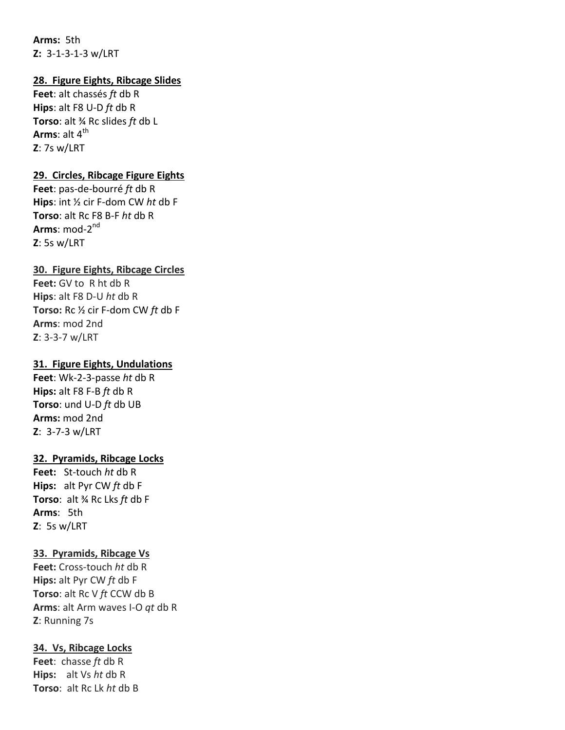**Arms:** 5th **Z:** 3-1-3-1-3 w/LRT

## **28. Figure Eights, Ribcage Slides**

**Feet**: alt chassés *ft* db R **Hips**: alt F8 U-D *ft* db R **Torso**: alt ¾ Rc slides *ft* db L **Arms**: alt  $4<sup>th</sup>$ **Z**: 7s w/LRT

#### **29. Circles, Ribcage Figure Eights**

**Feet**: pas-de-bourré *ft* db R **Hips**: int ½ cir F-dom CW *ht* db F **Torso**: alt Rc F8 B-F *ht* db R **Arms**: mod-2<sup>nd</sup> **Z**: 5s w/LRT

#### **30. Figure Eights, Ribcage Circles**

**Feet:** GV to R ht db R **Hips**: alt F8 D-U *ht* db R **Torso:** Rc ½ cir F-dom CW *ft* db F **Arms**: mod 2nd **Z**: 3-3-7 w/LRT

#### **31. Figure Eights, Undulations**

**Feet**: Wk-2-3-passe *ht* db R **Hips:** alt F8 F-B *ft* db R **Torso**: und U-D *ft* db UB **Arms:** mod 2nd **Z**: 3-7-3 w/LRT

#### **32. Pyramids, Ribcage Locks**

**Feet:** St-touch *ht* db R **Hips:** alt Pyr CW *ft* db F **Torso**: alt ¾ Rc Lks *ft* db F **Arms**: 5th **Z**: 5s w/LRT

#### **33. Pyramids, Ribcage Vs**

**Feet:** Cross-touch *ht* db R **Hips:** alt Pyr CW *ft* db F **Torso**: alt Rc V *ft* CCW db B **Arms**: alt Arm waves I-O *qt* db R **Z**: Running 7s

#### **34. Vs, Ribcage Locks**

**Feet**: chasse *ft* db R **Hips:** alt Vs *ht* db R **Torso**: alt Rc Lk *ht* db B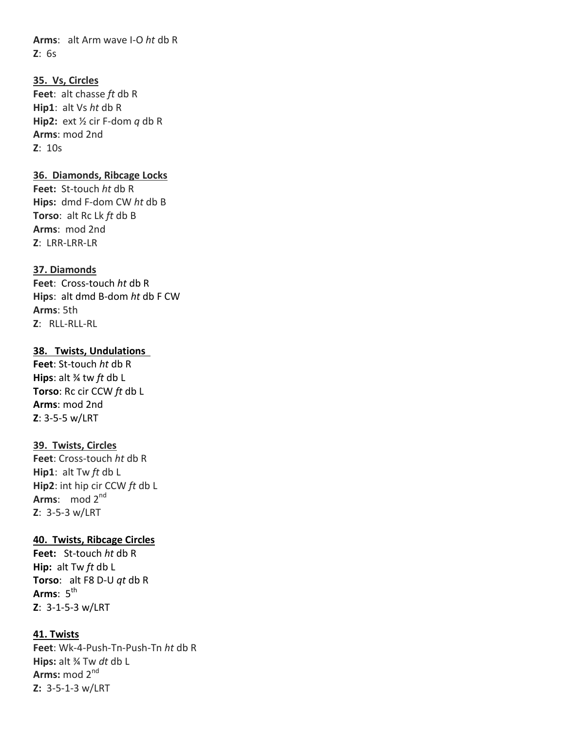**Arms**: alt Arm wave I-O *ht* db R **Z**: 6s

# **35. Vs, Circles Feet**: alt chasse *ft* db R **Hip1**: alt Vs *ht* db R **Hip2:** ext ½ cir F-dom *q* db R **Arms**: mod 2nd **Z**: 10s

## **36. Diamonds, Ribcage Locks**

**Feet:** St-touch *ht* db R **Hips:** dmd F-dom CW *ht* db B **Torso**: alt Rc Lk *ft* db B **Arms**: mod 2nd **Z**: LRR-LRR-LR

#### **37. Diamonds**

**Feet**: Cross-touch *ht* db R **Hips**: alt dmd B-dom *ht* db F CW **Arms**: 5th **Z**: RLL-RLL-RL

## **38. Twists, Undulations**

**Feet**: St-touch *ht* db R **Hips**: alt ¾ tw *ft* db L **Torso**: Rc cir CCW *ft* db L **Arms**: mod 2nd **Z**: 3-5-5 w/LRT

#### **39. Twists, Circles**

**Feet**: Cross-touch *ht* db R **Hip1**: alt Tw *ft* db L **Hip2**: int hip cir CCW *ft* db L **Arms**: mod 2nd **Z**: 3-5-3 w/LRT

#### **40. Twists, Ribcage Circles**

**Feet:** St-touch *ht* db R **Hip:** alt Tw *ft* db L **Torso**: alt F8 D-U *qt* db R **Arms**: 5<sup>th</sup> **Z**: 3-1-5-3 w/LRT

#### **41. Twists**

**Feet**: Wk-4-Push-Tn-Push-Tn *ht* db R **Hips:** alt ¾ Tw *dt* db L **Arms:** mod 2nd **Z:** 3-5-1-3 w/LRT